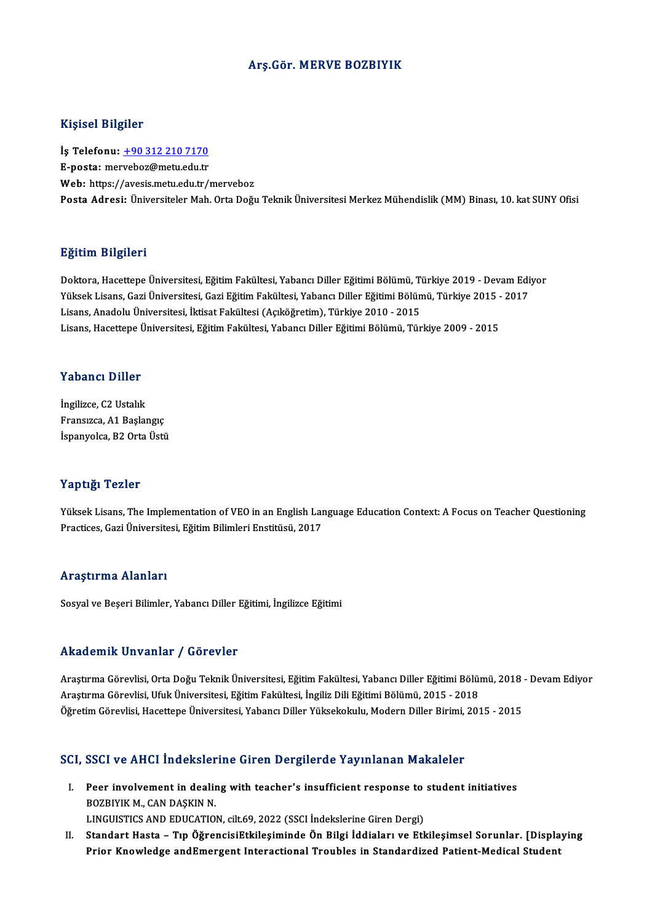#### Arş.Gör.MERVE BOZBIYIK

### Kişisel Bilgiler

Kişisel Bilgiler<br>İş Telefonu: <u>+90 312 210 7170</u><br>E nosta: marvabaz@matu.cdu.tr 11.91001 Dugnot<br>İş Telefonu: <u>+90 312 210 7170</u><br>E-posta: mer[veboz@metu.edu.tr](tel:+90 312 210 7170) E-posta: merveboz@metu.edu.tr<br>Web: https://avesis.metu.edu.tr/merveboz Posta Adresi: Üniversiteler Mah. Orta Doğu Teknik Üniversitesi Merkez Mühendislik (MM) Binası, 10. kat SUNY Ofisi

### Eğitim Bilgileri

**Eğitim Bilgileri**<br>Doktora, Hacettepe Üniversitesi, Eğitim Fakültesi, Yabancı Diller Eğitimi Bölümü, Türkiye 2019 - Devam Ediyor<br>Yüksek Lisans, Cari Üniversitesi, Cari Eğitim Fakültesi, Yabancı Diller Eğitimi Bölümü, Türki 25.<br>29. Doktora, Hacettepe Üniversitesi, Eğitim Fakültesi, Yabancı Diller Eğitimi Bölümü, Türkiye 2019 - Devam Edi<br>Yüksek Lisans, Gazi Üniversitesi, Gazi Eğitim Fakültesi, Yabancı Diller Eğitimi Bölümü, Türkiye 2015 - 2017 Doktora, Hacettepe Üniversitesi, Eğitim Fakültesi, Yabancı Diller Eğitimi Bölümü, T<br>Yüksek Lisans, Gazi Üniversitesi, Gazi Eğitim Fakültesi, Yabancı Diller Eğitimi Bölün<br>Lisans, Anadolu Üniversitesi, İktisat Fakültesi (Açı Yüksek Lisans, Gazi Üniversitesi, Gazi Eğitim Fakültesi, Yabancı Diller Eğitimi Bölümü, Türkiye 2015 - 2017<br>Lisans, Anadolu Üniversitesi, İktisat Fakültesi (Açıköğretim), Türkiye 2010 - 2015<br>Lisans, Hacettepe Üniversitesi,

### Yabancı Diller

İngilizce, C2 Ustalık Fransızca,A1Başlangıç İspanyolca, B2 Orta Üstü

#### Yaptığı Tezler

Yaptığı Tezler<br>Yüksek Lisans, The Implementation of VEO in an English Language Education Context: A Focus on Teacher Questioning<br>Prastises Cari Üniversitesi Eğitim Pilimleri Enstitüsü, 2017 Prack Practices<br>Yüksek Lisans, The Implementation of VEO in an English Lar<br>Practices, Gazi Üniversitesi, Eğitim Bilimleri Enstitüsü, 2017 Practices, Gazi Üniversitesi, Eğitim Bilimleri Enstitüsü, 2017<br>Araştırma Alanları

Sosyal ve Beşeri Bilimler, Yabancı Diller Eğitimi, İngilizce Eğitimi

### Akademik Unvanlar / Görevler

Akademik Unvanlar / Görevler<br>Araştırma Görevlisi, Orta Doğu Teknik Üniversitesi, Eğitim Fakültesi, Yabancı Diller Eğitimi Bölümü, 2018 - Devam Ediyor<br>Araştırma Görevlisi, Ufuk Üniversitesi, Eğitim Fakültesi, İngiliz Dili E Araştırma Görevlisi, Orta Doğu Teknik Üniversitesi, Eğitim Fakültesi, Yabancı Diller Eğitimi Bölüm<br>Araştırma Görevlisi, Ufuk Üniversitesi, Eğitim Fakültesi, İngiliz Dili Eğitimi Bölümü, 2015 - 2018<br>Öğretim Cörevlisi, Haset Araştırma Görevlisi, Ufuk Üniversitesi, Eğitim Fakültesi, İngiliz Dili Eğitimi Bölümü, 2015 - 2018<br>Öğretim Görevlisi, Hacettepe Üniversitesi, Yabancı Diller Yüksekokulu, Modern Diller Birimi, 2015 - 2015

# ogreum Goreviisi, Hacettepe Universitesi, Yabancı Diller Yuksekokulu, Modern Diller Birlini,<br>SCI, SSCI ve AHCI İndekslerine Giren Dergilerde Yayınlanan Makaleler

- CI, SSCI ve AHCI İndekslerine Giren Dergilerde Yayınlanan Makaleler<br>I. Peer involvement in dealing with teacher's insufficient response to student initiatives<br>POZPIVIK M. CAN DASKIN N BOZBIYIK M., CAN DAŞKIN<br>BOZBIYIK M., CAN DAŞKIN N.<br>LINGUISTICS AND EDUCATION Peer involvement in dealing with teacher's insufficient response to<br>BOZBIYIK M., CAN DAŞKIN N.<br>LINGUISTICS AND EDUCATION, cilt.69, 2022 (SSCI İndekslerine Giren Dergi)<br>Standart Hasta - Tın Öğrengiçi Etkilosiminde Ön Bilsi BOZBIYIK M., CAN DAŞKIN N.<br>LINGUISTICS AND EDUCATION, cilt.69, 2022 (SSCI İndekslerine Giren Dergi)<br>II. Standart Hasta – Tıp ÖğrencisiEtkileşiminde Ön Bilgi İddiaları ve Etkileşimsel Sorunlar. [Displaying
- Prior Knowledge andEmergent Interactional Troubles in Standardized Patient-Medical Student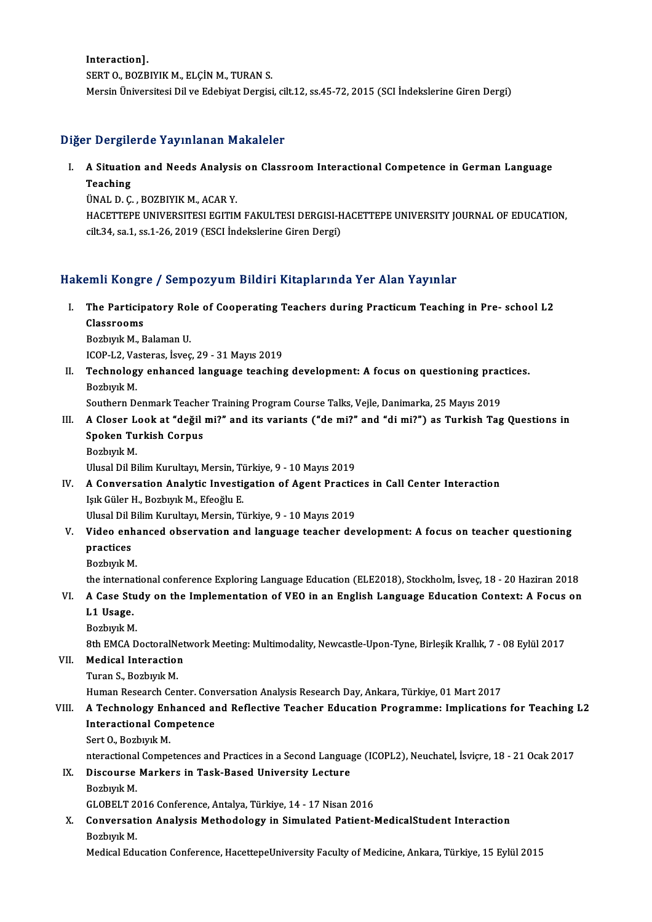Interaction]. SERT O., BOZBIYIK M., ELÇİN M., TURAN S. MersinÜniversitesiDilveEdebiyatDergisi, cilt.12, ss.45-72,2015 (SCI İndekslerineGirenDergi)

### Diğer Dergilerde Yayınlanan Makaleler

Iger Dergilerde Yayınlanan Makaleler<br>I. A Situation and Needs Analysis on Classroom Interactional Competence in German Language<br>Teaching A Situatio<br>Teaching<br>That D C A Situation and Needs Analysi:<br>Teaching<br>ÜNAL D. Ç. , BOZBIYIK M., ACAR Y.<br>HACETTEDE UNIVERSITESI ECITIN

Teaching<br>ÜNAL D. Ç. , BOZBIYIK M., ACAR Y.<br>HACETTEPE UNIVERSITESI EGITIM FAKULTESI DERGISI-HACETTEPE UNIVERSITY JOURNAL OF EDUCATION,<br>S<sup>ijt 24</sup>. S2.1, S2.1, 26.2019 (ESCI Indekslering Ciror Dergi) ÜNAL D. Ç. , BOZBIYIK M., ACAR Y.<br>HACETTEPE UNIVERSITESI EGITIM FAKULTESI DERGISI-H<br>cilt.34, sa.1, ss.1-26, 2019 (ESCI İndekslerine Giren Dergi)

## cilt.34, sa.1, ss.1-26, 2019 (ESCI İndekslerine Giren Dergi)<br>Hakemli Kongre / Sempozyum Bildiri Kitaplarında Yer Alan Yayınlar

akemli Kongre / Sempozyum Bildiri Kitaplarında Yer Alan Yayınlar<br>I. The Participatory Role of Cooperating Teachers during Practicum Teaching in Pre- school L2<br>Classnooms The Particip<br>Classrooms<br>Boshuul: M. E The Participatory Rol<br>Classrooms<br>Bozbıyık M., Balaman U.<br>ICOB L2 Vesteres İsveç Classrooms<br>Bozbıyık M., Balaman U.<br>ICOP-L2, Vasteras, İsveç, 29 - 31 Mayıs 2019<br>Teshnelegy enhansed language tesehine

Bozbıyık M., Balaman U.<br>ICOP-L2, Vasteras, İsveç, 29 - 31 Mayıs 2019<br>II. Technology enhanced language teaching development: A focus on questioning practices.<br>Bozbıyık M. ICOP-L2, Va<br>Technolog<br>Bozbıyık M.<br>Soutbern D.

Southern Denmark Teacher Training Program Course Talks, Vejle, Danimarka, 25 Mayıs 2019

Bozbıyık M.<br>Southern Denmark Teacher Training Program Course Talks, Vejle, Danimarka, 25 Mayıs 2019<br>III. A Closer Look at "değil mi?" and its variants ("de mi?" and "di mi?") as Turkish Tag Questions in<br>Spoken Turkish Southern Denmark Teache<br>A Closer Look at "değil<br>Spoken Turkish Corpus<br><sup>Bogbuuk M</sup> A Closer L<br>Spoken Tu<br>Bozbıyık M.<br>Ulusel Dil Pi Spoken Turkish Corpus<br>Bozbıyık M.<br>Ulusal Dil Bilim Kurultayı, Mersin, Türkiye, 9 - 10 Mayıs 2019<br>A Conversation Apolytic Investigation of Agent Prestig

Bozbiyik M.<br>Ulusal Dil Bilim Kurultayı, Mersin, Türkiye, 9 - 10 Mayıs 2019<br>IV. A Conversation Analytic Investigation of Agent Practices in Call Center Interaction Ulusal Dil Bilim Kurultayı, Mersin, Ti<br><mark>A Conversation Analytic Investi</mark><br>Işık Güler H., Bozbıyık M., Efeoğlu E.<br>Illusal Dil Bilim Kumıltayı Marsin, Ti A Conversation Analytic Investigation of Agent Practic<br>Işık Güler H., Bozbıyık M., Efeoğlu E.<br>Ulusal Dil Bilim Kurultayı, Mersin, Türkiye, 9 - 10 Mayıs 2019<br>Video enhaneed ehservation and language teosher del

Işık Güler H., Bozbıyık M., Efeoğlu E.<br>Ulusal Dil Bilim Kurultayı, Mersin, Türkiye, 9 - 10 Mayıs 2019<br>V. Video enhanced observation and language teacher development: A focus on teacher questioning<br>nnastices. Ulusal Dil I<br>Video enl<br>practices<br><sup>Porbunk M</sub></sup> Video enha<br>practices<br>Bozbıyık M.<br>the internat practices<br>Bozbıyık M.<br>the international conference Exploring Language Education (ELE2018), Stockholm, İsveç, 18 - 20 Haziran 2018<br>A Gase Study en the Implementation of VEO in en English Language Education Centeut: A Fecus

- Bozbıyık M.<br>the international conference Exploring Language Education (ELE2018), Stockholm, İsveç, 18 20 Haziran 2018<br>VI. A Case Study on the Implementation of VEO in an English Language Education Context: A Focus on the interna<br>A Case Stu<br>L1 Usage.<br><sup>Rozbuuk M</sub></sup> VI. A Case Study on the Implementation of VEO in an English Language Education Context: A Focus on L1 Usage.<br>Bozbıyık M. L1 Usage.<br>Bozbıyık M.<br>8th EMCA DoctoralNetwork Meeting: Multimodality, Newcastle-Upon-Tyne, Birleşik Krallık, 7 - 08 Eylül 2017<br>Medisal Interastion
	-

8th EMCA DoctoralNe<br>Medical Interaction<br>Turan S., Bozbıyık M.<br>Human Bossarsh Con

### VII. Medical Interaction<br>Turan S., Bozbiyik M.

Human Research Center. Conversation Analysis Research Day, Ankara, Türkiye, 01 Mart 2017

### VIII. A Technology Enhanced and Reflective Teacher Education Programme: Implications for Teaching L2 Human Research Center. Conv<br>A Technology Enhanced an<br>Interactional Competence<br>Sert O. Begbuuk M A Technology Enl<br>Interactional Con<br>Sert O., Bozbıyık M.<br>nteractional Compo

Sert O., Bozbiyik M.<br>nteractional Competences and Practices in a Second Language (ICOPL2), Neuchatel, İsviçre, 18 - 21 Ocak 2017 nteractional<br>Discourse<br>Bozbıyık M.<br>CLOBELT 24

### Sert O., Bozbiyik M.<br>nteractional Competences and Practices in a Second Languag<br>IX. Discourse Markers in Task-Based University Lecture<br>Rechysik M

Bozbiyik M.<br>GLOBELT 2016 Conference, Antalya, Türkiye, 14 - 17 Nisan 2016

Bozbıyık M.<br>GLOBELT 2016 Conference, Antalya, Türkiye, 14 - 17 Nisan 2016<br>X. Conversation Analysis Methodology in Simulated Patient-MedicalStudent Interaction<br>Rechysit M GLOBELT 2<br>Conversati<br>Bozbıyık M.<br>Medical Edu Conversation Analysis Methodology in Simulated Patient-MedicalStudent Interaction<br>Bozbıyık M.<br>Medical Education Conference, HacettepeUniversity Faculty of Medicine, Ankara, Türkiye, 15 Eylül 2015